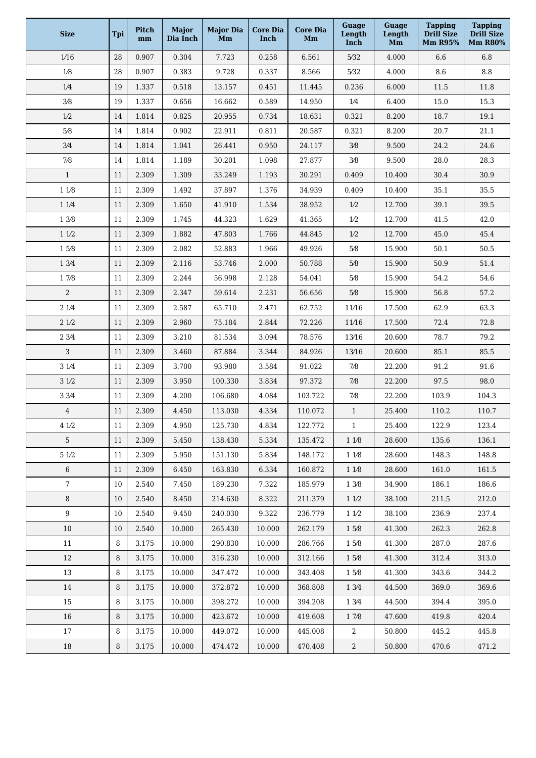| <b>Size</b>     | Tpi    | Pitch<br>mm | <b>Major</b><br>Dia Inch | <b>Major Dia</b><br>Mm | Core Dia<br>Inch | <b>Core Dia</b><br>Mm | Guage<br>Length<br>Inch | Guage<br>Length<br>Mm | <b>Tapping</b><br>Drill Size<br><b>Mm R95%</b> | <b>Tapping</b><br>Drill Size<br><b>Mm R80%</b> |
|-----------------|--------|-------------|--------------------------|------------------------|------------------|-----------------------|-------------------------|-----------------------|------------------------------------------------|------------------------------------------------|
| 1/16            | 28     | 0.907       | 0.304                    | 7.723                  | 0.258            | 6.561                 | 5/32                    | 4.000                 | 6.6                                            | 6.8                                            |
| 1/8             | 28     | 0.907       | 0.383                    | 9.728                  | 0.337            | 8.566                 | 5/32                    | 4.000                 | 8.6                                            | $\!\!\!\!\!8.8$                                |
| $1/4$           | 19     | 1.337       | 0.518                    | 13.157                 | 0.451            | 11.445                | 0.236                   | 6.000                 | 11.5                                           | 11.8                                           |
| $3/8$           | 19     | 1.337       | 0.656                    | 16.662                 | 0.589            | 14.950                | $1/4\,$                 | 6.400                 | 15.0                                           | 15.3                                           |
| 1/2             | 14     | 1.814       | 0.825                    | 20.955                 | 0.734            | 18.631                | 0.321                   | 8.200                 | 18.7                                           | 19.1                                           |
| $5/8$           | 14     | 1.814       | 0.902                    | 22.911                 | 0.811            | 20.587                | 0.321                   | 8.200                 | 20.7                                           | 21.1                                           |
| 3/4             | 14     | 1.814       | 1.041                    | 26.441                 | 0.950            | 24.117                | 3/8                     | 9.500                 | 24.2                                           | 24.6                                           |
| $7/8$           | 14     | 1.814       | 1.189                    | 30.201                 | 1.098            | 27.877                | 3/8                     | 9.500                 | 28.0                                           | 28.3                                           |
| $\mathbf{1}$    | 11     | 2.309       | 1.309                    | 33.249                 | 1.193            | 30.291                | 0.409                   | 10.400                | 30.4                                           | 30.9                                           |
| 1 1/8           | 11     | 2.309       | 1.492                    | 37.897                 | 1.376            | 34.939                | 0.409                   | 10.400                | 35.1                                           | 35.5                                           |
| 1 1/4           | 11     | 2.309       | 1.650                    | 41.910                 | 1.534            | 38.952                | 1/2                     | 12.700                | 39.1                                           | 39.5                                           |
| 1 3/8           | 11     | 2.309       | 1.745                    | 44.323                 | 1.629            | 41.365                | 1/2                     | 12.700                | 41.5                                           | 42.0                                           |
| 11/2            | 11     | 2.309       | 1.882                    | 47.803                 | 1.766            | 44.845                | 1/2                     | 12.700                | 45.0                                           | 45.4                                           |
| 15/8            | $11\,$ | 2.309       | 2.082                    | 52.883                 | 1.966            | 49.926                | $5/8$                   | 15.900                | 50.1                                           | 50.5                                           |
| 1 3/4           | 11     | 2.309       | 2.116                    | 53.746                 | 2.000            | 50.788                | 5/8                     | 15.900                | 50.9                                           | 51.4                                           |
| 17/8            | 11     | 2.309       | 2.244                    | 56.998                 | 2.128            | 54.041                | 5⁄8                     | 15.900                | 54.2                                           | 54.6                                           |
| 2               | 11     | 2.309       | 2.347                    | 59.614                 | 2.231            | 56.656                | 5/8                     | 15.900                | 56.8                                           | 57.2                                           |
| 2 1/4           | 11     | 2.309       | 2.587                    | 65.710                 | 2.471            | 62.752                | 11/16                   | 17.500                | 62.9                                           | 63.3                                           |
| 21/2            | 11     | 2.309       | 2.960                    | 75.184                 | 2.844            | 72.226                | 11/16                   | 17.500                | 72.4                                           | 72.8                                           |
| 2 3/4           | 11     | 2.309       | 3.210                    | 81.534                 | 3.094            | 78.576                | 13/16                   | 20.600                | 78.7                                           | 79.2                                           |
| 3               | 11     | 2.309       | 3.460                    | 87.884                 | 3.344            | 84.926                | 13/16                   | 20.600                | 85.1                                           | 85.5                                           |
| 3 1/4           | 11     | 2.309       | 3.700                    | 93.980                 | 3.584            | 91.022                | $7/8$                   | 22.200                | 91.2                                           | 91.6                                           |
| 31/2            | 11     | 2.309       | 3.950                    | 100.330                | 3.834            | 97.372                | $7/8$                   | 22.200                | 97.5                                           | 98.0                                           |
| 3 3/4           | 11     | 2.309       | 4.200                    | 106.680                | 4.084            | 103.722               | 7/8                     | 22.200                | 103.9                                          | 104.3                                          |
| $\overline{4}$  | 11     | 2.309       | 4.450                    | 113.030                | 4.334            | 110.072               | $\mathbf{1}$            | 25.400                | 110.2                                          | 110.7                                          |
| 4 1/2           | 11     | 2.309       | 4.950                    | 125.730                | 4.834            | 122.772               | $\mathbf{1}$            | 25.400                | 122.9                                          | 123.4                                          |
| 5               | 11     | 2.309       | 5.450                    | 138.430                | 5.334            | 135.472               | 11/8                    | 28.600                | 135.6                                          | 136.1                                          |
| 5 1/2           | 11     | 2.309       | 5.950                    | 151.130                | 5.834            | 148.172               | 118                     | 28.600                | 148.3                                          | 148.8                                          |
| $6\,$           | 11     | 2.309       | 6.450                    | 163.830                | 6.334            | 160.872               | 118                     | 28.600                | 161.0                                          | 161.5                                          |
| $7\phantom{.0}$ | 10     | 2.540       | 7.450                    | 189.230                | 7.322            | 185.979               | 1 3/8                   | 34.900                | 186.1                                          | 186.6                                          |
| 8               | 10     | 2.540       | 8.450                    | 214.630                | 8.322            | 211.379               | 11/2                    | 38.100                | 211.5                                          | 212.0                                          |
| 9               | 10     | 2.540       | 9.450                    | 240.030                | 9.322            | 236.779               | 11/2                    | 38.100                | 236.9                                          | 237.4                                          |
| 10              | 10     | 2.540       | 10.000                   | 265.430                | 10.000           | 262.179               | 15/8                    | 41.300                | 262.3                                          | 262.8                                          |
| 11              | 8      | 3.175       | 10.000                   | 290.830                | 10.000           | 286.766               | 15/8                    | 41.300                | 287.0                                          | 287.6                                          |
| 12              | 8      | 3.175       | 10.000                   | 316.230                | 10.000           | 312.166               | 15/8                    | 41.300                | 312.4                                          | 313.0                                          |
| 13              | 8      | 3.175       | 10.000                   | 347.472                | 10.000           | 343.408               | 15/8                    | 41.300                | 343.6                                          | 344.2                                          |
| 14              | 8      | 3.175       | 10.000                   | 372.872                | 10.000           | 368.808               | 1 3/4                   | 44.500                | 369.0                                          | 369.6                                          |
| 15              | 8      | 3.175       | 10.000                   | 398.272                | 10.000           | 394.208               | 1 3/4                   | 44.500                | 394.4                                          | 395.0                                          |
| 16              | 8      | 3.175       | 10.000                   | 423.672                | 10.000           | 419.608               | 17/8                    | 47.600                | 419.8                                          | 420.4                                          |
| 17              | 8      | 3.175       | 10.000                   | 449.072                | 10.000           | 445.008               | 2                       | 50.800                | 445.2                                          | 445.8                                          |
| 18              | 8      | 3.175       | 10.000                   | 474.472                | 10.000           | 470.408               | $\mathbf{2}$            | 50.800                | 470.6                                          | 471.2                                          |